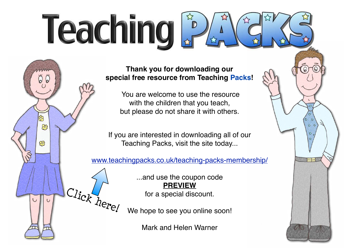## Teaching

**Thank you for downloading our special free resource from Teaching Packs!**

> You are welcome to use the resource with the children that you teach, but please do not share it with others.

If you are interested in downloading all of our Teaching Packs, visit the site today...

සි

හි

 $\circ$ 

[www.teachingpacks.co.uk/teaching-packs-membership/](http://www.teachingpacks.co.uk/teaching-packs-membership/)

...and use the coupon code **PREVIEW** for a special discount.

We hope to see you online soon! Click here!

Mark and Helen Warner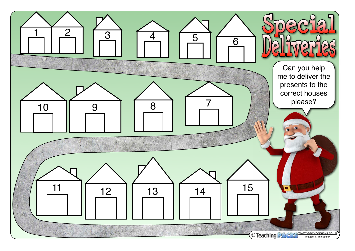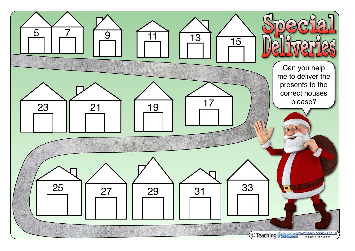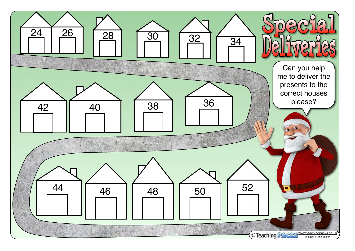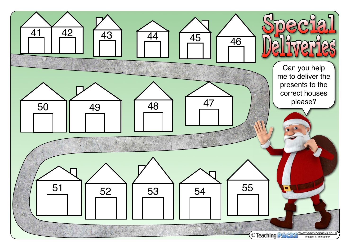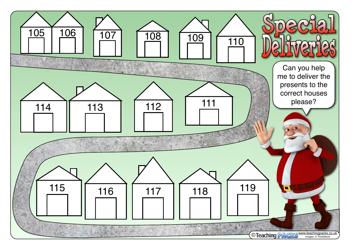